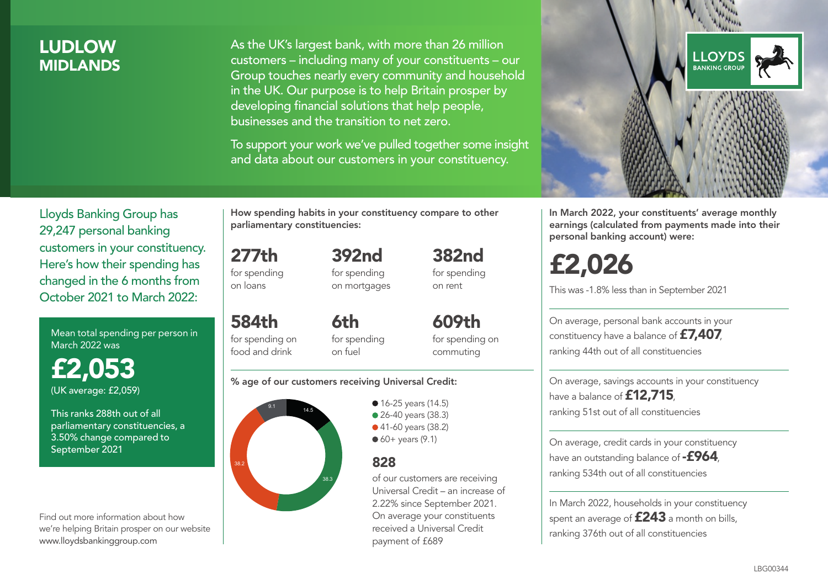## LUDLOW **MIDI ANDS**

As the UK's largest bank, with more than 26 million customers – including many of your constituents – our Group touches nearly every community and household in the UK. Our purpose is to help Britain prosper by developing financial solutions that help people, businesses and the transition to net zero.

To support your work we've pulled together some insight and data about our customers in your constituency.



In March 2022, your constituents' average monthly earnings (calculated from payments made into their personal banking account) were:

# £2,026

This was -1.8% less than in September 2021

On average, personal bank accounts in your constituency have a balance of £7,407, ranking 44th out of all constituencies

On average, savings accounts in your constituency have a balance of **£12,715** ranking 51st out of all constituencies

On average, credit cards in your constituency have an outstanding balance of  $-$ £964, ranking 534th out of all constituencies

In March 2022, households in your constituency spent an average of **£243** a month on bills, ranking 376th out of all constituencies

Lloyds Banking Group has 29,247 personal banking customers in your constituency. Here's how their spending has changed in the 6 months from October 2021 to March 2022:

Mean total spending per person in March 2022 was

£2,053 (UK average: £2,059)

This ranks 288th out of all parliamentary constituencies, a 3.50% change compared to September 2021

Find out more information about how we're helping Britain prosper on our website www.lloydsbankinggroup.com

How spending habits in your constituency compare to other parliamentary constituencies:

277th for spending on loans 392nd for spending on mortgages

584th for spending on food and drink 6th

for spending on fuel

for spending on commuting

382nd for spending on rent

609th

#### % age of our customers receiving Universal Credit:



• 16-25 years (14.5) • 26-40 years (38.3) ● 41-60 years (38.2)  $60+$  years (9.1)

### 828

of our customers are receiving Universal Credit – an increase of 2.22% since September 2021. On average your constituents received a Universal Credit payment of £689